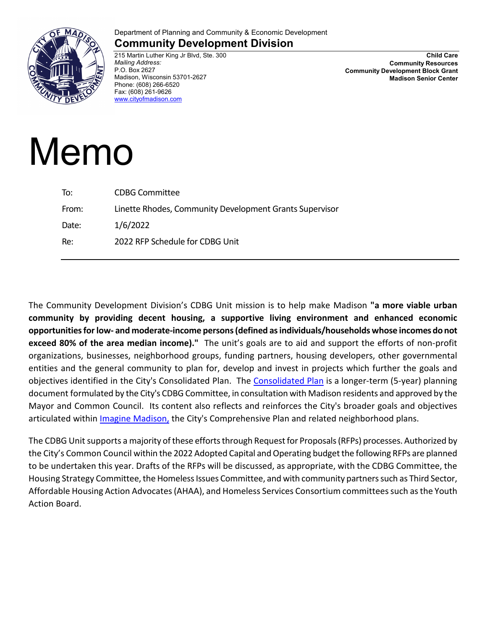

## Department of Planning and Community & Economic Development

## **Community Development Division**

215 Martin Luther King Jr Blvd, Ste. 300 *Mailing Address:* P.O. Box 2627 Madison, Wisconsin 53701-2627 Phone: (608) 266-6520 Fax: (608) 261-9626 [www.cityofmadison.com](http://www.cityofmadison.com/)

**Child Care Community Resources Community Development Block Grant Madison Senior Center**

## Memo

| To:   | <b>CDBG Committee</b>                                   |
|-------|---------------------------------------------------------|
| From: | Linette Rhodes, Community Development Grants Supervisor |
| Date: | 1/6/2022                                                |
| Re:   | 2022 RFP Schedule for CDBG Unit                         |
|       |                                                         |

The Community Development Division's CDBG Unit mission is to help make Madison **"a more viable urban community by providing decent housing, a supportive living environment and enhanced economic opportunities for low- and moderate-income persons (defined as individuals/households whose incomes do not exceed 80% of the area median income)."** The unit's goals are to aid and support the efforts of non-profit organizations, businesses, neighborhood groups, funding partners, housing developers, other governmental entities and the general community to plan for, develop and invest in projects which further the goals and objectives identified in the City's Consolidated Plan. The [Consolidated Plan](https://www.cityofmadison.com/cdbg/docs/2020-2024_ConPlan.pdf) is a longer-term (5-year) planning document formulated by the City's CDBG Committee, in consultation with Madison residents and approved by the Mayor and Common Council. Its content also reflects and reinforces the City's broader goals and objectives articulated within *Imagine Madison*, the City's Comprehensive Plan and related neighborhood plans.

The CDBG Unit supports a majority of these efforts through Request for Proposals (RFPs) processes. Authorized by the City's Common Council within the 2022 Adopted Capital and Operating budget the following RFPs are planned to be undertaken this year. Drafts of the RFPs will be discussed, as appropriate, with the CDBG Committee, the Housing Strategy Committee, the Homeless Issues Committee, and with community partners such as Third Sector, Affordable Housing Action Advocates(AHAA), and Homeless Services Consortium committees such as the Youth Action Board.